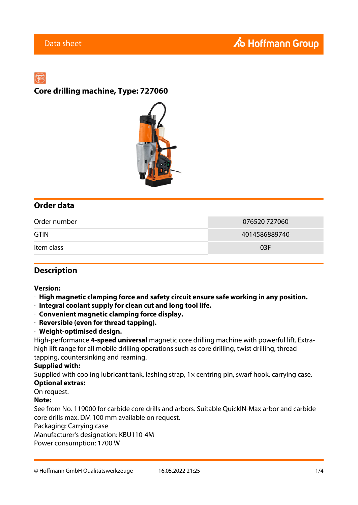# **Core drilling machine, Type: 727060**



## **Order data**

| Order number | 076520 727060 |
|--------------|---------------|
| <b>GTIN</b>  | 4014586889740 |
| Item class   | 03F           |

### **Description**

#### **Version:**

- · **High magnetic clamping force and safety circuit ensure safe working in any position.**
- · **Integral coolant supply for clean cut and long tool life.**
- · **Convenient magnetic clamping force display.**
- · **Reversible (even for thread tapping).**
- · **Weight-optimised design.**

High-performance **4-speed universal** magnetic core drilling machine with powerful lift. Extrahigh lift range for all mobile drilling operations such as core drilling, twist drilling, thread tapping, countersinking and reaming.

#### **Supplied with:**

Supplied with cooling lubricant tank, lashing strap, 1x centring pin, swarf hook, carrying case.

# **Optional extras:**

On request.

#### **Note:**

See from No. 119000 for carbide core drills and arbors. Suitable QuickIN-Max arbor and carbide core drills max. DM 100 mm available on request.

Packaging: Carrying case

Manufacturer's designation: KBU110-4M

Power consumption: 1700 W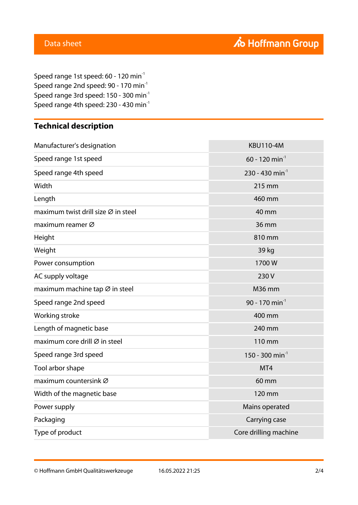Speed range 1st speed: 60 - 120 min<sup>-1</sup> Speed range 2nd speed: 90 - 170 min<sup>-1</sup> Speed range 3rd speed: 150 - 300 min-1 Speed range 4th speed: 230 - 430  $min<sup>-1</sup>$ 

# **Technical description**

| Manufacturer's designation          | <b>KBU110-4M</b>             |
|-------------------------------------|------------------------------|
| Speed range 1st speed               | $60 - 120$ min <sup>-1</sup> |
| Speed range 4th speed               | 230 - 430 min <sup>-1</sup>  |
| Width                               | 215 mm                       |
| Length                              | 460 mm                       |
| maximum twist drill size Ø in steel | 40 mm                        |
| maximum reamer Ø                    | 36 mm                        |
| Height                              | 810 mm                       |
| Weight                              | 39 kg                        |
| Power consumption                   | 1700W                        |
| AC supply voltage                   | 230V                         |
| maximum machine tap Ø in steel      | <b>M36 mm</b>                |
| Speed range 2nd speed               | 90 - 170 min <sup>-1</sup>   |
| Working stroke                      | 400 mm                       |
| Length of magnetic base             | 240 mm                       |
| maximum core drill Ø in steel       | 110 mm                       |
| Speed range 3rd speed               | 150 - 300 min <sup>-1</sup>  |
| Tool arbor shape                    | MT4                          |
| maximum countersink Ø               | 60 mm                        |
| Width of the magnetic base          | 120 mm                       |
| Power supply                        | Mains operated               |
| Packaging                           | Carrying case                |
| Type of product                     | Core drilling machine        |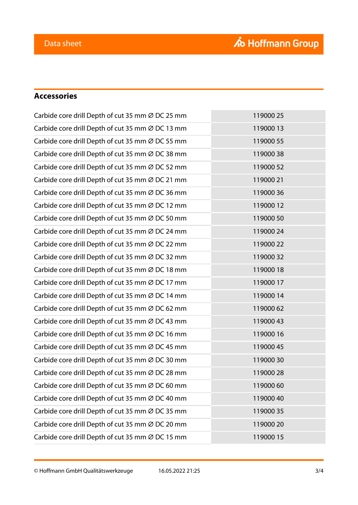# **Accessories**

| Carbide core drill Depth of cut 35 mm Ø DC 25 mm | 119000 25 |
|--------------------------------------------------|-----------|
| Carbide core drill Depth of cut 35 mm Ø DC 13 mm | 11900013  |
| Carbide core drill Depth of cut 35 mm Ø DC 55 mm | 119000 55 |
| Carbide core drill Depth of cut 35 mm Ø DC 38 mm | 11900038  |
| Carbide core drill Depth of cut 35 mm Ø DC 52 mm | 119000 52 |
| Carbide core drill Depth of cut 35 mm Ø DC 21 mm | 119000 21 |
| Carbide core drill Depth of cut 35 mm Ø DC 36 mm | 11900036  |
| Carbide core drill Depth of cut 35 mm Ø DC 12 mm | 11900012  |
| Carbide core drill Depth of cut 35 mm Ø DC 50 mm | 119000 50 |
| Carbide core drill Depth of cut 35 mm Ø DC 24 mm | 119000 24 |
| Carbide core drill Depth of cut 35 mm Ø DC 22 mm | 119000 22 |
| Carbide core drill Depth of cut 35 mm Ø DC 32 mm | 11900032  |
| Carbide core drill Depth of cut 35 mm Ø DC 18 mm | 11900018  |
| Carbide core drill Depth of cut 35 mm Ø DC 17 mm | 11900017  |
| Carbide core drill Depth of cut 35 mm Ø DC 14 mm | 11900014  |
| Carbide core drill Depth of cut 35 mm Ø DC 62 mm | 11900062  |
| Carbide core drill Depth of cut 35 mm Ø DC 43 mm | 11900043  |
| Carbide core drill Depth of cut 35 mm Ø DC 16 mm | 11900016  |
| Carbide core drill Depth of cut 35 mm Ø DC 45 mm | 119000 45 |
| Carbide core drill Depth of cut 35 mm Ø DC 30 mm | 11900030  |
| Carbide core drill Depth of cut 35 mm Ø DC 28 mm | 119000 28 |
| Carbide core drill Depth of cut 35 mm Ø DC 60 mm | 11900060  |
| Carbide core drill Depth of cut 35 mm Ø DC 40 mm | 119000 40 |
| Carbide core drill Depth of cut 35 mm Ø DC 35 mm | 11900035  |
| Carbide core drill Depth of cut 35 mm Ø DC 20 mm | 119000 20 |
| Carbide core drill Depth of cut 35 mm Ø DC 15 mm | 119000 15 |